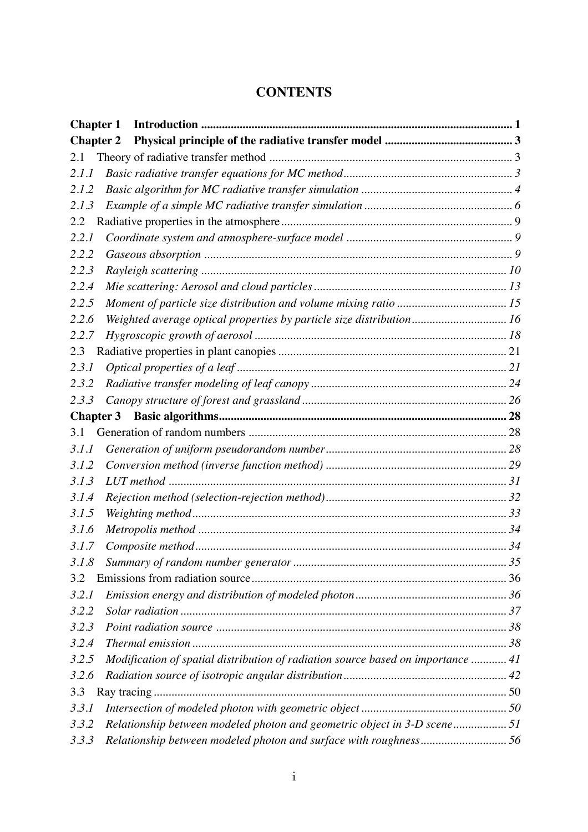## **CONTENTS**

| <b>Chapter 1</b> |                                                                                  |  |
|------------------|----------------------------------------------------------------------------------|--|
| <b>Chapter 2</b> |                                                                                  |  |
| 2.1              |                                                                                  |  |
| 2.1.1            |                                                                                  |  |
| 2.1.2            |                                                                                  |  |
| 2.1.3            |                                                                                  |  |
| 2.2              |                                                                                  |  |
| 2.2.1            |                                                                                  |  |
| 2.2.2            |                                                                                  |  |
| 2.2.3            |                                                                                  |  |
| 2.2.4            |                                                                                  |  |
| 2.2.5            |                                                                                  |  |
| 2.2.6            | Weighted average optical properties by particle size distribution 16             |  |
| 2.2.7            |                                                                                  |  |
| 2.3              |                                                                                  |  |
| 2.3.1            |                                                                                  |  |
| 2.3.2            |                                                                                  |  |
| 2.3.3            |                                                                                  |  |
| <b>Chapter 3</b> |                                                                                  |  |
| 3.1              |                                                                                  |  |
| 3.1.1            |                                                                                  |  |
| 3.1.2            |                                                                                  |  |
| 3.1.3            |                                                                                  |  |
| 3.1.4            |                                                                                  |  |
| 3.1.5            |                                                                                  |  |
| 3.1.6            |                                                                                  |  |
| 3.1.7            |                                                                                  |  |
| 3.1.8            |                                                                                  |  |
| 3.2              |                                                                                  |  |
| 3.2.1            |                                                                                  |  |
| 3.2.2            |                                                                                  |  |
| 3.2.3            |                                                                                  |  |
| 3.2.4            |                                                                                  |  |
| 3.2.5            | Modification of spatial distribution of radiation source based on importance  41 |  |
| 3.2.6            |                                                                                  |  |
| 3.3              |                                                                                  |  |
| 3.3.1            |                                                                                  |  |
| 3.3.2            | Relationship between modeled photon and geometric object in 3-D scene51          |  |
| 3.3.3            | Relationship between modeled photon and surface with roughness56                 |  |
|                  |                                                                                  |  |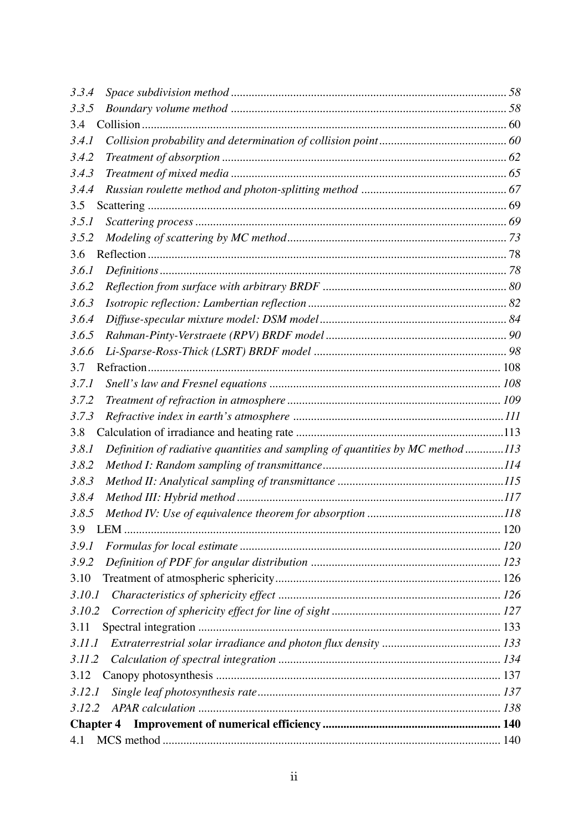| 4.1          |                                                                                |  |
|--------------|--------------------------------------------------------------------------------|--|
|              | <b>Chapter 4</b>                                                               |  |
| 3.12.2       |                                                                                |  |
| 3.12.1       |                                                                                |  |
| 3.12         |                                                                                |  |
| 3.11.2       |                                                                                |  |
| 3.11.1       |                                                                                |  |
| 3.11         |                                                                                |  |
| 3.10.2       |                                                                                |  |
| 3.10.1       |                                                                                |  |
| 3.10         |                                                                                |  |
| 3.9.2        |                                                                                |  |
| 3.9.1        |                                                                                |  |
| 3.9          |                                                                                |  |
| 3.8.5        |                                                                                |  |
| 3.8.4        |                                                                                |  |
| 3.8.3        |                                                                                |  |
| 3.8.2        |                                                                                |  |
| 3.8.1        | Definition of radiative quantities and sampling of quantities by MC method 113 |  |
| 3.8          |                                                                                |  |
| 3.7.3        |                                                                                |  |
| 3.7.2        |                                                                                |  |
| 3.7.1        |                                                                                |  |
| 3.7          |                                                                                |  |
| 3.6.6        |                                                                                |  |
| 3.6.5        |                                                                                |  |
| 3.6.4        |                                                                                |  |
| 3.6.3        |                                                                                |  |
| 3.6.2        |                                                                                |  |
| <i>3.6.1</i> |                                                                                |  |
| 3.6          |                                                                                |  |
| 3.5.2        |                                                                                |  |
| 3.5.1        |                                                                                |  |
| 3.5          |                                                                                |  |
| 3.4.4        |                                                                                |  |
| 3.4.3        |                                                                                |  |
| 3.4.2        |                                                                                |  |
| <i>3.4.1</i> |                                                                                |  |
| 3.4          |                                                                                |  |
| 3.3.5        |                                                                                |  |
| 3.3.4        |                                                                                |  |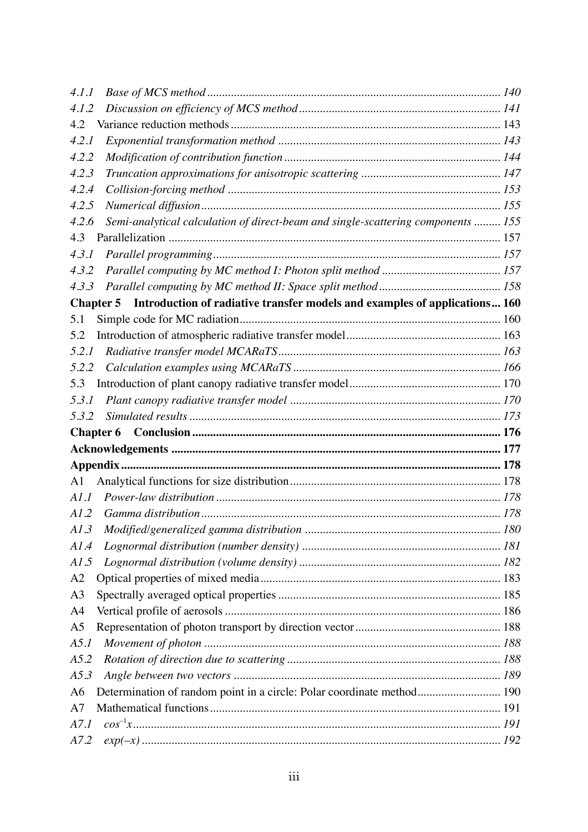| 4.1.1          |                                                                                                |  |
|----------------|------------------------------------------------------------------------------------------------|--|
| 4.1.2          |                                                                                                |  |
| 4.2            |                                                                                                |  |
| 4.2.1          |                                                                                                |  |
| 4.2.2          |                                                                                                |  |
| 4.2.3          |                                                                                                |  |
| 4.2.4          |                                                                                                |  |
| 4.2.5          |                                                                                                |  |
| 4.2.6          | Semi-analytical calculation of direct-beam and single-scattering components  155               |  |
| 4.3            |                                                                                                |  |
| 4.3.1          |                                                                                                |  |
| 4.3.2          |                                                                                                |  |
| 4.3.3          |                                                                                                |  |
|                | Introduction of radiative transfer models and examples of applications 160<br><b>Chapter 5</b> |  |
| 5.1            |                                                                                                |  |
| 5.2            |                                                                                                |  |
| 5.2.1          |                                                                                                |  |
| 5.2.2          |                                                                                                |  |
| 5.3            |                                                                                                |  |
| 5.3.1          |                                                                                                |  |
| 5.3.2          |                                                                                                |  |
|                | <b>Chapter 6</b>                                                                               |  |
|                |                                                                                                |  |
|                |                                                                                                |  |
| A <sub>1</sub> |                                                                                                |  |
| A1.1           |                                                                                                |  |
| A1.2           |                                                                                                |  |
|                |                                                                                                |  |
| A1.4           |                                                                                                |  |
| AI.5           |                                                                                                |  |
| A2             |                                                                                                |  |
| A3             |                                                                                                |  |
| A4             |                                                                                                |  |
| A <sub>5</sub> |                                                                                                |  |
| A5.1           |                                                                                                |  |
| A5.2           |                                                                                                |  |
| A5.3           |                                                                                                |  |
| A <sub>6</sub> | Determination of random point in a circle: Polar coordinate method 190                         |  |
| A7             |                                                                                                |  |
| A7.1           |                                                                                                |  |
| A7.2           |                                                                                                |  |